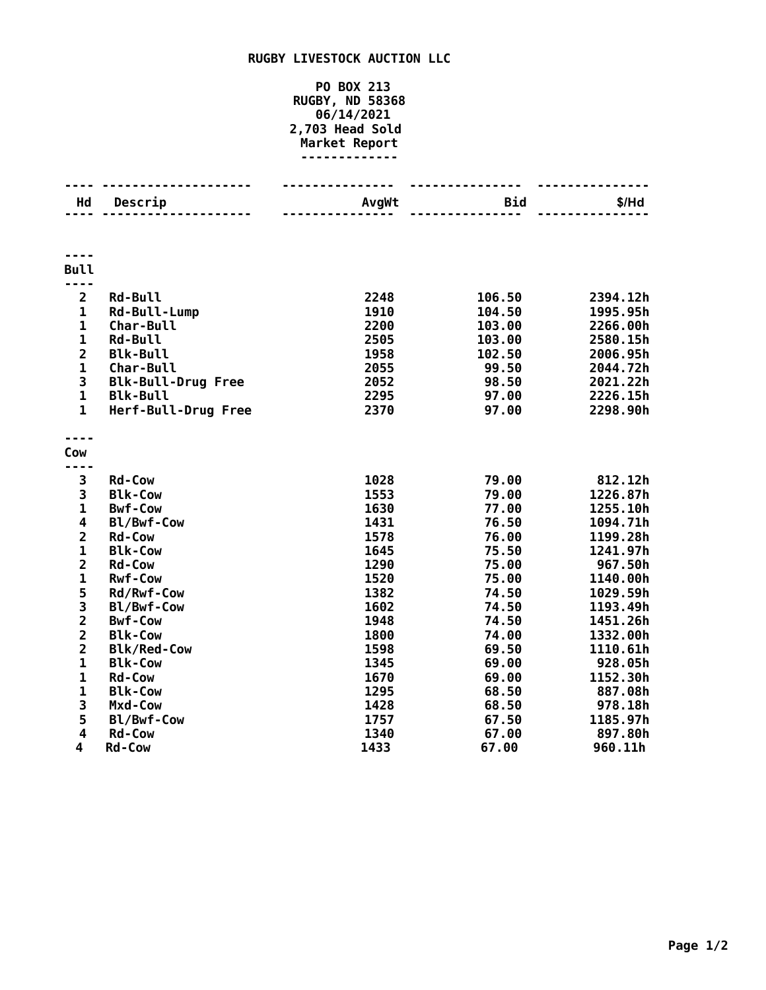## **RUGBY LIVESTOCK AUCTION LLC**

## **PO BOX 213 RUGBY, ND 58368 06/14/2021 2,703 Head Sold Market Report -------------**

| Hd                                         | Descrip                          | AvgWt        | Bid            | $$/$ Hd              |
|--------------------------------------------|----------------------------------|--------------|----------------|----------------------|
|                                            |                                  |              |                |                      |
|                                            |                                  |              |                |                      |
| <b>Bull</b>                                |                                  |              |                |                      |
|                                            |                                  |              |                |                      |
| $\overline{2}$                             | <b>Rd-Bull</b>                   | 2248         | 106.50         | 2394.12h             |
| $\mathbf 1$                                | Rd-Bull-Lump                     | 1910         | 104.50         | 1995.95h             |
| $\mathbf 1$                                | Char-Bull                        | 2200         | 103.00         | 2266.00h             |
| $\mathbf 1$                                | <b>Rd-Bull</b>                   | 2505         | 103.00         | 2580.15h             |
| $\overline{\mathbf{c}}$                    | <b>Blk-Bull</b>                  | 1958         | 102.50         | 2006.95h             |
| $\mathbf 1$                                | <b>Char-Bull</b>                 | 2055         | 99.50          | 2044.72h             |
| 3                                          | <b>Blk-Bull-Drug Free</b>        | 2052         | 98.50          | 2021.22h             |
| $\mathbf{1}$                               | <b>Blk-Bull</b>                  | 2295         | 97.00          | 2226.15h             |
| $\mathbf{1}$                               | Herf-Bull-Drug Free              | 2370         | 97.00          | 2298.90h             |
|                                            |                                  |              |                |                      |
| Cow                                        |                                  |              |                |                      |
|                                            |                                  |              |                |                      |
| 3                                          | <b>Rd-Cow</b>                    | 1028         | 79.00          | 812.12h              |
| 3<br>$\mathbf{1}$                          | <b>Blk-Cow</b><br><b>Bwf-Cow</b> | 1553         | 79.00          | 1226.87h             |
| 4                                          |                                  | 1630<br>1431 | 77.00<br>76.50 | 1255.10h             |
| $\overline{\mathbf{c}}$                    | Bl/Bwf-Cow<br><b>Rd-Cow</b>      | 1578         | 76.00          | 1094.71h<br>1199.28h |
| $\mathbf{1}$                               | <b>Blk-Cow</b>                   | 1645         | 75.50          | 1241.97h             |
| $\overline{\mathbf{c}}$                    | <b>Rd-Cow</b>                    | 1290         | 75.00          | 967.50h              |
| $\mathbf 1$                                | <b>Rwf-Cow</b>                   | 1520         | 75.00          | 1140.00h             |
| 5                                          | Rd/Rwf-Cow                       | 1382         | 74.50          | 1029.59h             |
|                                            | Bl/Bwf-Cow                       | 1602         | 74.50          | 1193.49h             |
| $\begin{array}{c} 3 \\ 2 \\ 2 \end{array}$ | <b>Bwf-Cow</b>                   | 1948         | 74.50          | 1451.26h             |
|                                            | <b>Blk-Cow</b>                   | 1800         | 74.00          | 1332.00h             |
| $\overline{\mathbf{2}}$                    | <b>Blk/Red-Cow</b>               | 1598         | 69.50          | 1110.61h             |
| $\mathbf{1}$                               | <b>Blk-Cow</b>                   | 1345         | 69.00          | 928.05h              |
| $\mathbf 1$                                | <b>Rd-Cow</b>                    | 1670         | 69.00          | 1152.30h             |
| $\mathbf 1$                                | <b>Blk-Cow</b>                   | 1295         | 68.50          | 887.08h              |
| 3                                          | Mxd-Cow                          | 1428         | 68.50          | 978.18h              |
| 5                                          | Bl/Bwf-Cow                       | 1757         | 67.50          | 1185.97h             |
| 4                                          | <b>Rd-Cow</b>                    | 1340         | 67.00          | 897.80h              |
| 4                                          | <b>Rd-Cow</b>                    | 1433         | 67.00          | 960.11h              |